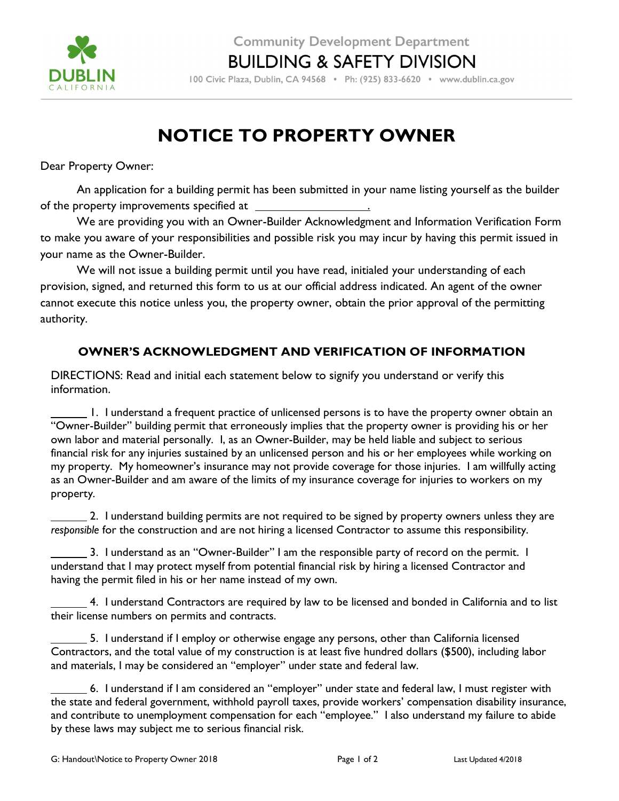

100 Civic Plaza, Dublin, CA 94568 · Ph: (925) 833-6620 · www.dublin.ca.gov

## NOTICE TO PROPERTY OWNER

Dear Property Owner:

An application for a building permit has been submitted in your name listing yourself as the builder of the property improvements specified at \_

We are providing you with an Owner-Builder Acknowledgment and Information Verification Form to make you aware of your responsibilities and possible risk you may incur by having this permit issued in your name as the Owner-Builder.

We will not issue a building permit until you have read, initialed your understanding of each provision, signed, and returned this form to us at our official address indicated. An agent of the owner cannot execute this notice unless you, the property owner, obtain the prior approval of the permitting authority.

## OWNER'S ACKNOWLEDGMENT AND VERIFICATION OF INFORMATION

DIRECTIONS: Read and initial each statement below to signify you understand or verify this information.

 1. I understand a frequent practice of unlicensed persons is to have the property owner obtain an "Owner-Builder" building permit that erroneously implies that the property owner is providing his or her own labor and material personally. I, as an Owner-Builder, may be held liable and subject to serious financial risk for any injuries sustained by an unlicensed person and his or her employees while working on my property. My homeowner's insurance may not provide coverage for those injuries. I am willfully acting as an Owner-Builder and am aware of the limits of my insurance coverage for injuries to workers on my property.

 2. I understand building permits are not required to be signed by property owners unless they are responsible for the construction and are not hiring a licensed Contractor to assume this responsibility.

 3. I understand as an "Owner-Builder" I am the responsible party of record on the permit. I understand that I may protect myself from potential financial risk by hiring a licensed Contractor and having the permit filed in his or her name instead of my own.

 4. I understand Contractors are required by law to be licensed and bonded in California and to list their license numbers on permits and contracts.

 5. I understand if I employ or otherwise engage any persons, other than California licensed Contractors, and the total value of my construction is at least five hundred dollars (\$500), including labor and materials, I may be considered an "employer" under state and federal law.

 6. I understand if I am considered an "employer" under state and federal law, I must register with the state and federal government, withhold payroll taxes, provide workers' compensation disability insurance, and contribute to unemployment compensation for each "employee." I also understand my failure to abide by these laws may subject me to serious financial risk.